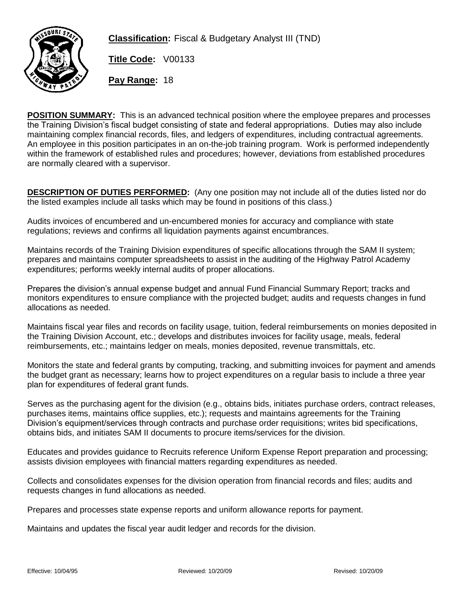

**Classification:** Fiscal & Budgetary Analyst III (TND)

**Title Code:** V00133

**Pay Range:** 18

**POSITION SUMMARY:** This is an advanced technical position where the employee prepares and processes the Training Division's fiscal budget consisting of state and federal appropriations. Duties may also include maintaining complex financial records, files, and ledgers of expenditures, including contractual agreements. An employee in this position participates in an on-the-job training program. Work is performed independently within the framework of established rules and procedures; however, deviations from established procedures are normally cleared with a supervisor.

**DESCRIPTION OF DUTIES PERFORMED:** (Any one position may not include all of the duties listed nor do the listed examples include all tasks which may be found in positions of this class.)

Audits invoices of encumbered and un-encumbered monies for accuracy and compliance with state regulations; reviews and confirms all liquidation payments against encumbrances.

Maintains records of the Training Division expenditures of specific allocations through the SAM II system; prepares and maintains computer spreadsheets to assist in the auditing of the Highway Patrol Academy expenditures; performs weekly internal audits of proper allocations.

Prepares the division's annual expense budget and annual Fund Financial Summary Report; tracks and monitors expenditures to ensure compliance with the projected budget; audits and requests changes in fund allocations as needed.

Maintains fiscal year files and records on facility usage, tuition, federal reimbursements on monies deposited in the Training Division Account, etc.; develops and distributes invoices for facility usage, meals, federal reimbursements, etc.; maintains ledger on meals, monies deposited, revenue transmittals, etc.

Monitors the state and federal grants by computing, tracking, and submitting invoices for payment and amends the budget grant as necessary; learns how to project expenditures on a regular basis to include a three year plan for expenditures of federal grant funds.

Serves as the purchasing agent for the division (e.g., obtains bids, initiates purchase orders, contract releases, purchases items, maintains office supplies, etc.); requests and maintains agreements for the Training Division's equipment/services through contracts and purchase order requisitions; writes bid specifications, obtains bids, and initiates SAM II documents to procure items/services for the division.

Educates and provides guidance to Recruits reference Uniform Expense Report preparation and processing; assists division employees with financial matters regarding expenditures as needed.

Collects and consolidates expenses for the division operation from financial records and files; audits and requests changes in fund allocations as needed.

Prepares and processes state expense reports and uniform allowance reports for payment.

Maintains and updates the fiscal year audit ledger and records for the division.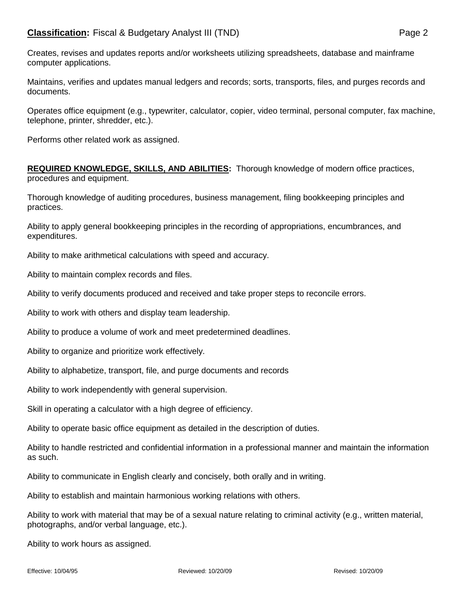Creates, revises and updates reports and/or worksheets utilizing spreadsheets, database and mainframe computer applications.

Maintains, verifies and updates manual ledgers and records; sorts, transports, files, and purges records and documents.

Operates office equipment (e.g., typewriter, calculator, copier, video terminal, personal computer, fax machine, telephone, printer, shredder, etc.).

Performs other related work as assigned.

**REQUIRED KNOWLEDGE, SKILLS, AND ABILITIES:** Thorough knowledge of modern office practices, procedures and equipment.

Thorough knowledge of auditing procedures, business management, filing bookkeeping principles and practices.

Ability to apply general bookkeeping principles in the recording of appropriations, encumbrances, and expenditures.

Ability to make arithmetical calculations with speed and accuracy.

Ability to maintain complex records and files.

Ability to verify documents produced and received and take proper steps to reconcile errors.

Ability to work with others and display team leadership.

Ability to produce a volume of work and meet predetermined deadlines.

Ability to organize and prioritize work effectively.

Ability to alphabetize, transport, file, and purge documents and records

Ability to work independently with general supervision.

Skill in operating a calculator with a high degree of efficiency.

Ability to operate basic office equipment as detailed in the description of duties.

Ability to handle restricted and confidential information in a professional manner and maintain the information as such.

Ability to communicate in English clearly and concisely, both orally and in writing.

Ability to establish and maintain harmonious working relations with others.

Ability to work with material that may be of a sexual nature relating to criminal activity (e.g., written material, photographs, and/or verbal language, etc.).

Ability to work hours as assigned.